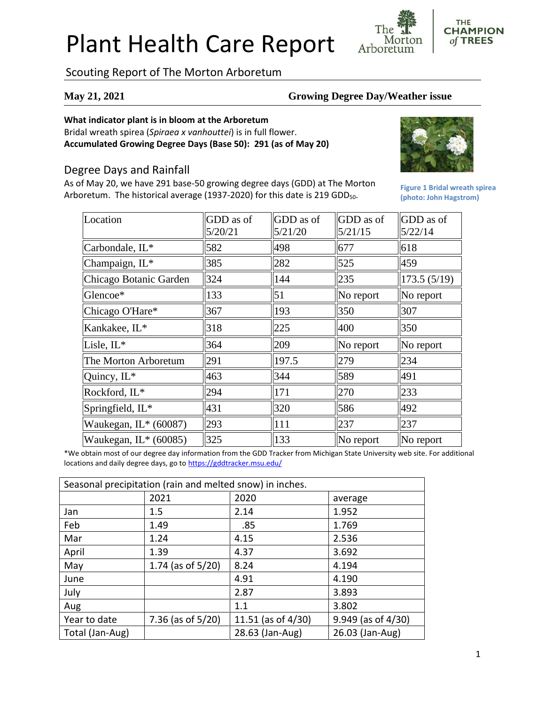# Plant Health Care Report

Scouting Report of The Morton Arboretum

## **May 21, 2021 Growing Degree Day/Weather issue**

Morton

Arboretum

### **What indicator plant is in bloom at the Arboretum**

Bridal wreath spirea (*Spiraea x vanhouttei*) is in full flower. **Accumulated Growing Degree Days (Base 50): 291 (as of May 20)**

# Degree Days and Rainfall

As of May 20, we have 291 base-50 growing degree days (GDD) at The Morton Arboretum. The historical average (1937-2020) for this date is 219 GDD<sub>50</sub>.



**Figure 1 Bridal wreath spirea (photo: John Hagstrom)**

**THE CHAMPION** of TREES

| Location                | GDD as of<br>5/20/21 | GDD as of<br>5/21/20 | GDD as of<br>5/21/15 | GDD as of<br>5/22/14 |
|-------------------------|----------------------|----------------------|----------------------|----------------------|
| Carbondale, IL*         | 582                  | 498                  | 677                  | 618                  |
| Champaign, IL*          | 385                  | 282                  | 525                  | 459                  |
| Chicago Botanic Garden  | 324                  | 144                  | 235                  | 173.5(5/19)          |
| Glencoe*                | 133                  | $\vert 51 \vert$     | $\ $ No report       | No report            |
| Chicago O'Hare*         | 367                  | 193                  | 350                  | 307                  |
| Kankakee, IL*           | 318                  | 225                  | 400                  | 350                  |
| Lisle, IL*              | 364                  | 209                  | $\ $ No report       | No report            |
| The Morton Arboretum    | 291                  | 197.5                | 279                  | 234                  |
| Quincy, IL*             | 463                  | 344                  | 589                  | 491                  |
| Rockford, IL*           | 294                  | 171                  | 270                  | 233                  |
| Springfield, IL*        | 431                  | 320                  | 586                  | 492                  |
| Waukegan, $IL*(60087)$  | 293                  | 111                  | 237                  | 237                  |
| Waukegan, $IL^*(60085)$ | 325                  | 133                  | $\ $ No report       | No report            |

\*We obtain most of our degree day information from the GDD Tracker from Michigan State University web site. For additional locations and daily degree days, go to <https://gddtracker.msu.edu/>

| Seasonal precipitation (rain and melted snow) in inches. |                      |                    |                         |  |  |
|----------------------------------------------------------|----------------------|--------------------|-------------------------|--|--|
|                                                          | 2021                 | 2020               | average                 |  |  |
| Jan                                                      | 1.5                  | 2.14               | 1.952                   |  |  |
| Feb                                                      | 1.49                 | .85                | 1.769                   |  |  |
| Mar                                                      | 1.24                 | 4.15               | 2.536                   |  |  |
| April                                                    | 1.39                 | 4.37               | 3.692                   |  |  |
| May                                                      | 1.74 (as of $5/20$ ) | 8.24               | 4.194                   |  |  |
| June                                                     |                      | 4.91               | 4.190                   |  |  |
| July                                                     |                      | 2.87               | 3.893                   |  |  |
| Aug                                                      |                      | 1.1                | 3.802                   |  |  |
| Year to date                                             | 7.36 (as of $5/20$ ) | 11.51 (as of 4/30) | $9.949$ (as of $4/30$ ) |  |  |
| Total (Jan-Aug)                                          |                      | 28.63 (Jan-Aug)    | 26.03 (Jan-Aug)         |  |  |